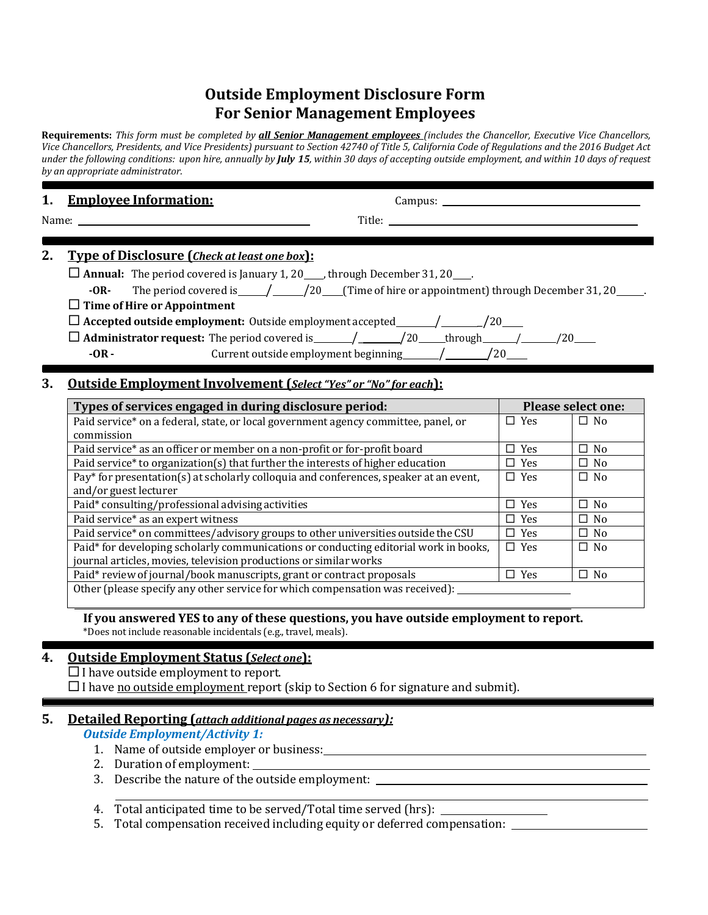# **Outside Employment Disclosure Form For Senior Management Employees**

Requirements: This form must be completed by all Senior Management employees (includes the Chancellor, Executive Vice Chancellors, Vice Chancellors, Presidents, and Vice Presidents) pursuant to Section 42740 of Title 5, California Code of Regulations and the 2016 Budget Act under the following conditions: upon hire, annually by July 15, within 30 days of accepting outside employment, and within 10 days of request *by an appropriate administrator.*

| Name:<br>Title:                                                                                                                                                                                            |  |
|------------------------------------------------------------------------------------------------------------------------------------------------------------------------------------------------------------|--|
|                                                                                                                                                                                                            |  |
| 2.<br><b>Type of Disclosure (Check at least one box):</b>                                                                                                                                                  |  |
| $\Box$ Annual: The period covered is January 1, 20____, through December 31, 20___.<br>The period covered is $\frac{1}{20}$ $\frac{20}{100}$ (Time of hire or appointment) through December 31, 20<br>-OR- |  |
| $\Box$ Time of Hire or Appointment                                                                                                                                                                         |  |
|                                                                                                                                                                                                            |  |
|                                                                                                                                                                                                            |  |
| Current outside employment beginning $\frac{1}{20}$ /20<br>$-OR -$                                                                                                                                         |  |

# **3. Outside Employment Involvement (***Select"Yes" or "No"for each***):**

| Types of services engaged in during disclosure period:                                | <b>Please select one:</b> |           |
|---------------------------------------------------------------------------------------|---------------------------|-----------|
| Paid service* on a federal, state, or local government agency committee, panel, or    | $\Box$ Yes                | $\Box$ No |
| commission                                                                            |                           |           |
| Paid service* as an officer or member on a non-profit or for-profit board             | $\Box$ Yes                | $\Box$ No |
| Paid service* to organization(s) that further the interests of higher education       | $\Box$ Yes                | $\Box$ No |
| Pay* for presentation(s) at scholarly colloquia and conferences, speaker at an event, | $\Box$ Yes                | $\Box$ No |
| and/or guest lecturer                                                                 |                           |           |
| Paid* consulting/professional advising activities                                     | $\Box$ Yes                | $\Box$ No |
| Paid service* as an expert witness                                                    | $\Box$ Yes                | $\Box$ No |
| Paid service* on committees/advisory groups to other universities outside the CSU     | $\Box$ Yes                | $\Box$ No |
| Paid* for developing scholarly communications or conducting editorial work in books,  | $\Box$ Yes                | $\Box$ No |
| journal articles, movies, television productions or similar works                     |                           |           |
| Paid* review of journal/book manuscripts, grant or contract proposals                 | $\Box$ Yes                | $\Box$ No |
| Other (please specify any other service for which compensation was received):         |                           |           |

**If you answered YES to any of these questions, you have outside employment to report.** \*Does not include reasonable incidentals (e.g., travel, meals).

### **4. Outside Employment Status (***Select one***):**

 $\Box$  I have outside employment to report.

 $\Box$  I have no outside employment report (skip to Section 6 for signature and submit).

# **5. Detailed Reporting (***attach additional pages as necessary):*

*Outside Employment/Activity 1:*

- 1. Name of outside employer or business:
- 2. Duration of employment:
- 3. Describe the nature of the outside employment:

4. Total anticipated time to be served/Total time served (hrs):

5. Total compensation received including equity or deferred compensation: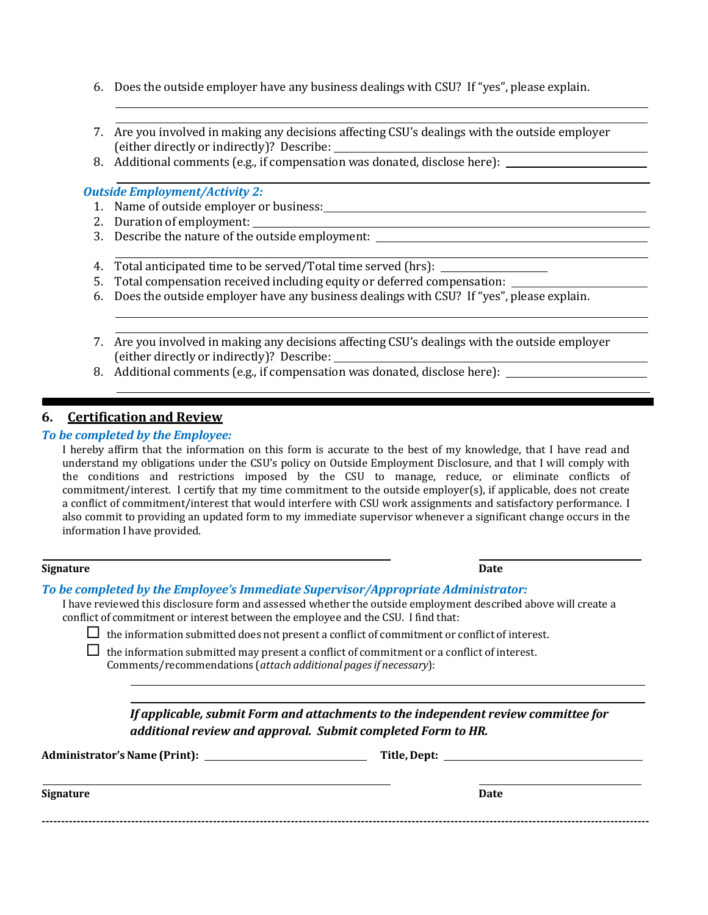- 6. Does the outside employer have any business dealings with CSU? If "yes", please explain.
- 7. Are you involved in making any decisions affecting CSU's dealings with the outside employer (either directly or indirectly)? Describe:
- 8. Additional comments (e.g., if compensation was donated, disclose here):

#### *Outside Employment/Activity 2:*

- 1. Name of outside employer or business:
- 2. Duration of employment:
- 3. Describe the nature of the outside employment:
- 4. Total anticipated time to be served/Total time served (hrs):
- 5. Total compensation received including equity or deferred compensation:
- 6. Does the outside employer have any business dealings with CSU? If "yes", please explain.
- 7. Are you involved in making any decisions affecting CSU's dealings with the outside employer (either directly or indirectly)? Describe:
- 8. Additional comments (e.g., if compensation was donated, disclose here):

### **6. Certification and Review**

#### *To be completed by the Employee:*

I hereby affirm that the information on this form is accurate to the best of my knowledge, that I have read and understand my obligations under the CSU's policy on Outside Employment Disclosure, and that I will comply with the conditions and restrictions imposed by the CSU to manage, reduce, or eliminate conflicts of commitment/interest. I certify that my time commitment to the outside employer(s), if applicable, does not create a conflict of commitment/interest that would interfere with CSU work assignments and satisfactory performance. I also commit to providing an updated form to my immediate supervisor whenever a significant change occurs in the information I have provided.

#### **Signature Date**

### *To be completed by the Employee's Immediate Supervisor/Appropriate Administrator:*

I have reviewed this disclosure form and assessed whether the outside employment described above will create a conflict of commitment or interest between the employee and the CSU. I find that:

 $\Box$  the information submitted does not present a conflict of commitment or conflict of interest.

 $\Box$  the information submitted may present a conflict of commitment or a conflict of interest. Comments/recommendations (*attach additional pagesif necessary*):

| If applicable, submit Form and attachments to the independent review committee for |
|------------------------------------------------------------------------------------|
| additional review and approval. Submit completed Form to HR.                       |

| <b>Administrator's Name (Print):</b> |  |
|--------------------------------------|--|
|--------------------------------------|--|

**Administrator'sName (Print): Title, Dept:**

| Signature | <b>Date</b> |
|-----------|-------------|
|           |             |
|           |             |